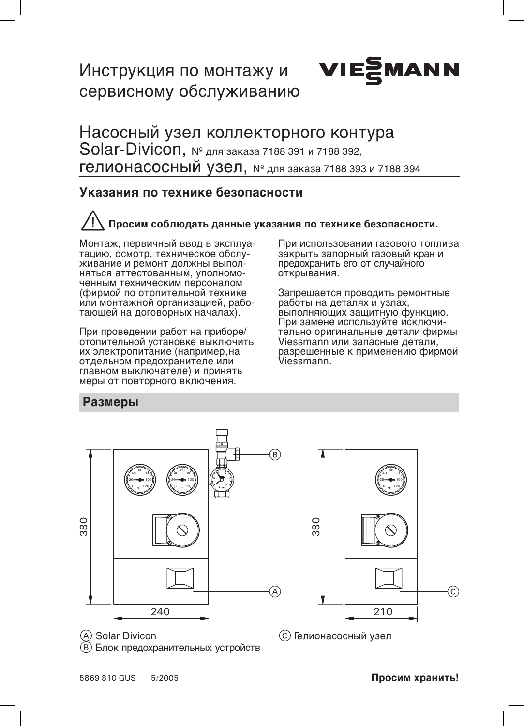# Инструкция по монтажу и **VIE** сервисному обслуживанию



### Указания по технике безопасности

# Просим соблюдать данные указания по технике безопасности.

Монтаж, первичный ввод в эксплуатацию, осмотр. техническое обслуживание и ремонт должны выполняться аттестованным, уполномоченным техническим персоналом (фирмой по отопительной технике или монтажной организацией, работающей на договорных началах).

При проведении работ на приборе/ отопительной установке выключить их электропитание (например, на отдельном предохранителе или главном выключателе) и принять меры от повторного включения.

При использовании газового топлива закрыть запорный газовый кран и предохранить его от случайного открывания.

**MANN** 

Запрещается проводить ремонтные работы на деталях и узлах, выполняющих защитную функцию. При замене используйте исключительно оригинальные детали фирмы Viessmann или запасные детали, разрешенные к применению фирмой Viessmann.

### Размеры



(A) Solar Divicon (В) Блок предохранительных устройств



(с) Гелионасосный узел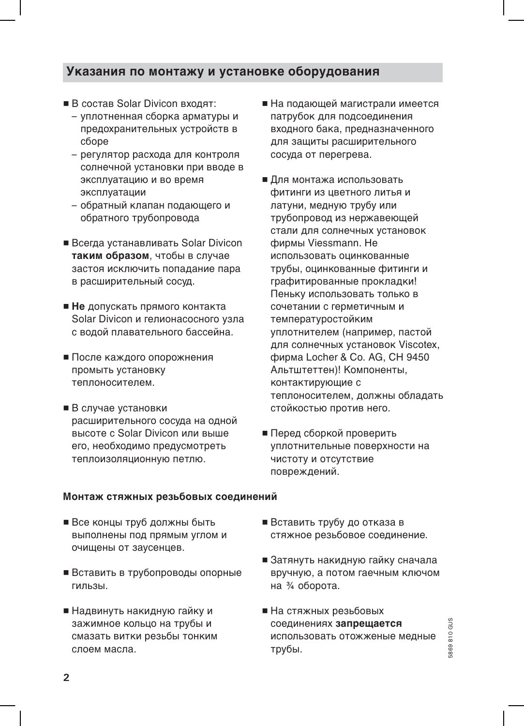## Указания по монтажу и установке оборудования

- В состав Solar Divicon входят:
	- уплотненная сборка арматуры и предохранительных устройств в сборе
	- регулятор расхода для контроля солнечной установки при вводе в эксплуатацию и во время эксплуатации
	- обратный клапан подающего <mark>и</mark> обратного трубопровода
- Всегда устанавливать Solar Divicon таким образом, чтобы в случае застоя исключить попадание пара в расширительный сосуд.
- $\blacksquare$  Не допускать прямого контакта Solar Divicon и гелионасосного узла с водой плавательного бассейна.
- После каждого опорожнения промыть установку теплоносителем.
- **•** В случае установки расширительного сосуда на одной высоте с Solar Divicon или выше его, необходимо предусмотреть теплоизоляционную петлю.
- На подающей магистрали имеется патрубок для подсоединения входного бака, предназначенного для защиты расширительного сосуда от перегрева.
- $\blacksquare$  Для монтажа использовать фитинги из цветного литья и латуни, медную трубу или трубопровод из нержавеющей стали для солнечных установок фирмы Viessmann. He использовать оцинкованные трубы, оцинкованные фитинги и графитированные прокладки! Пеньку использовать только в сочетании с герметичным и температуростойким уплотнителем (например, пастой для солнечных установок Viscotex, фирма Locher & Co. AG, CH 9450 Альтштеттен)! Компоненты, контактирующие с теплоносителем, должны обладать стойкостью против него.
- Перед сборкой проверить уплотнительные поверхности на чистоту и отсутствие повреждений.

#### Монтаж стяжных резьбовых соединений

- Все концы труб должны быть выполнены под прямым углом и очишены от заусенцев.
- $\blacksquare$  Вставить в трубопроводы опорные гильзы.
- Надвинуть накидную гайку и зажимное кольцо на трубы и смазать витки резьбы тонким слоем масла.
- Вставить трубу до отказа в стяжное резьбовое соединение.
- Затянуть накидную гайку сначала вручную, а потом гаечным ключом на 3/4 оборота.
- На стяжных резьбовых соединениях запрещается использовать отожженые медные трубы.

5869810G 5869810 GU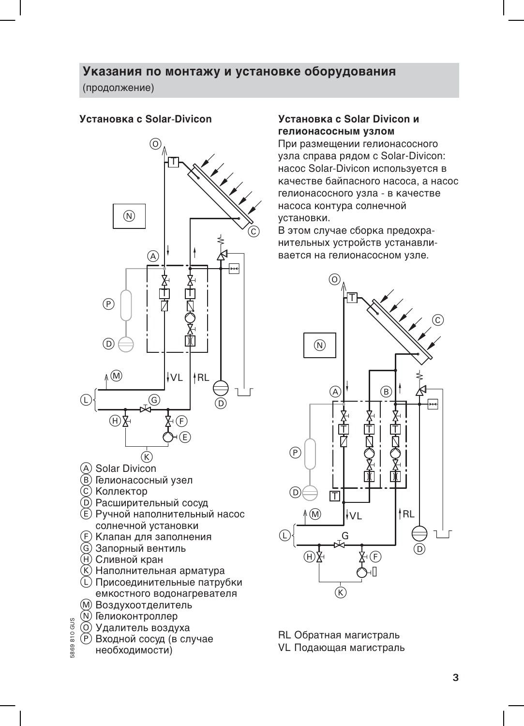## Указания по монтажу и установке оборудования

(продолжение)

#### Установка с Solar-Divicon



- (A) Solar Divicon
- (В) Гелионасосный узел
- © Коллектор
- **(D) Расширительный сосуд**
- (E) Ручной наполнительный насос солнечной установки
- (F) Клапан для заполнения
- **6 Запорный вентиль**
- **H**) Сливной кран
- (K) Наполнительная арматура
- (L) Присоединительные патрубки емкостного водонагревателя
- (М) Воздухоотделитель
- (N) Гелиоконтроллер
- **(O) Удалитель воздуха**
- (Р) Входной сосуд (в случае
- необходимости)

869810 GUS

#### Установка с Solar Divicon и гелионасосным узлом

При размещении гелионасосного узла справа рядом с Solar-Divicon: насос Solar-Divicon используется в качестве байпасного насоса, а насос гелионасосного узла - в качестве насоса контура солнечной установки.

В этом случае сборка предохранительных устройств устанавливается на гелионасосном узле.



RL Обратная магистраль

VL Подающая магистраль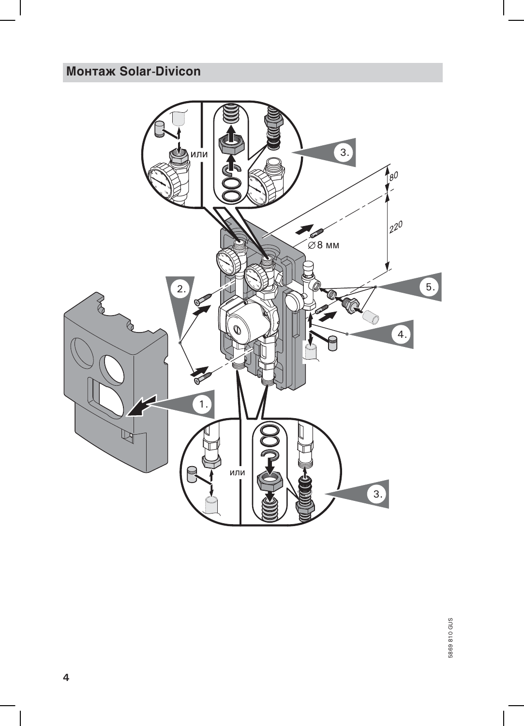# **Монтаж Solar-Divicon**

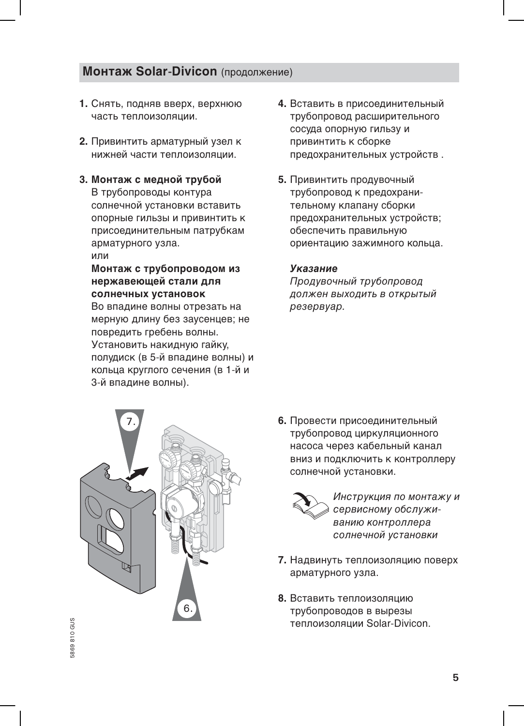# **Монтаж Solar-Divicon** (продолжение)

- 1. Снять, подняв вверх, верхнюю часть теплоизоляции.
- 2. Привинтить арматурный узел к нижней части теплоизоляции.
- 3. Монтаж с медной трубой В трубопроводы контура солнечной установки вставить опорные гильзы и привинтить к присоединительным патрубкам арматурного узла. или

#### Монтаж с трубопроводом из нержавеющей стали для солнечных установок

Во впадине волны отрезать на мерную длину без заусенцев; не повредить гребень волны. Установить накидную гайку, полудиск (в 5-й впадине волны) и кольца круглого сечения (в 1-й и 3-й впадине волны).

- 4. Вставить в присоединительный трубопровод расширительного сосуда опорную гильзу и привинтить к сборке предохранительных устройств.
- 5. Привинтить продувочный трубопровод к предохранительному клапану сборки предохранительных устройств; обеспечить правильную ориентацию зажимного кольца.

#### Указание

Продувочный трубопровод должен выходить в открытый резервуар.



6. Провести присоединительный трубопровод циркуляционного насоса через кабельный канал вниз и подключить к контроллеру солнечной установки.



Инструкция по монтажу и сервисному обслуживанию контроллера солнечной установки

- 7. Надвинуть теплоизоляцию поверх арматурного узла.
- 8. Вставить теплоизоляцию трубопроводов в вырезы теплоизоляции Solar-Divicon.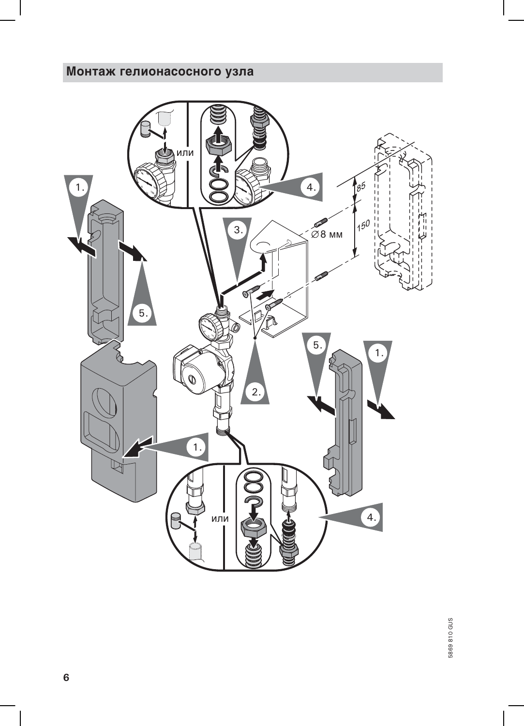# Монтаж гелионасосного узла

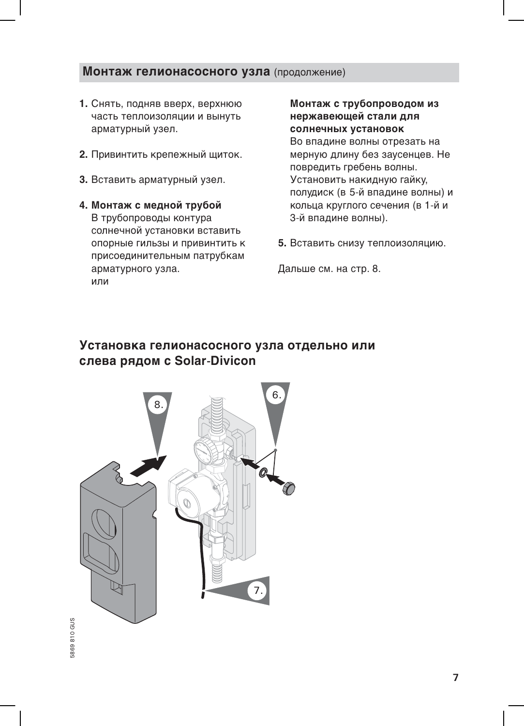### Монтаж гелионасосного узла (продолжение)

- 1. Снять, подняв вверх, верхнюю часть теплоизоляции и вынуть арматурный узел.
- 2. Привинтить крепежный щиток.
- 3. Вставить арматурный узел.
- 4. Монтаж с медной трубой В трубопроводы контура солнечной установки вставить опорные гильзы и привинтить к присоединительным патрубкам арматурного узла. ипи

Монтаж с трубопроводом из нержавеющей стали для солнечных установок

Во впадине волны отрезать на мерную длину без заусенцев. Не повредить гребень волны. Установить накидную гайку, полудиск (в 5-й впадине волны) и кольца круглого сечения (в 1-й и 3-й впадине волны).

5. Вставить снизу теплоизоляцию.

Дальше см. на стр. 8.

# Установка гелионасосного узла отдельно или слева рядом с Solar-Divicon

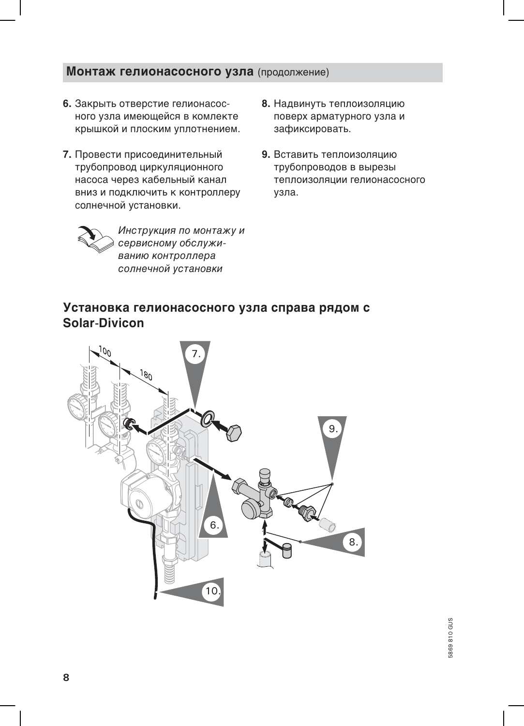## Монтаж гелионасосного узла (продолжение)

- 6. Закрыть отверстие гелионасосного узла имеющейся в комлекте крышкой и плоским уплотнением.
- 7. Провести присоединительный трубопровод циркуляционного насоса через кабельный канал вниз и подключить к контроллеру солнечной установки.
- 8. Надвинуть теплоизоляцию поверх арматурного узла и зафиксировать.
- 9. Вставить теплоизоляцию трубопроводов в вырезы теплоизоляции гелионасосного узла.



Инструкция по монтажу и сервисному обслуживанию контроллера солнечной установки

# Установка гелионасосного узла справа рядом с Solar-Divicon

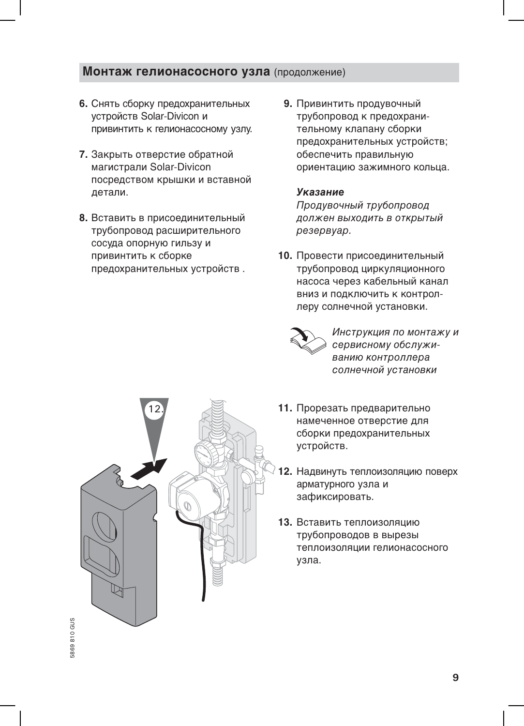### Монтаж гелионасосного узла (продолжение)

- 6. Снять сборку предохранительных устройств Solar-Divicon и привинтить к гелионасосному узлу.
- 7. Закрыть отверстие обратной магистрали Solar-Divicon посредством крышки и вставной летали.
- 8. Вставить в присоединительный трубопровод расширительного сосуда опорную гильзу и привинтить к сборке предохранительных устройств.
- 9. Привинтить продувочный трубопровод к предохранительному клапану сборки предохранительных устройств; обеспечить правильную ориентацию зажимного кольца.

#### *<u>Vказание</u>*

Продувочный трубопровод должен выходить в открытый резервуар.

10. Провести присоединительный трубопровод циркуляционного насоса через кабельный канал ВНИЗ И ПОДКЛЮЧИТЬ К КОНТРОЛлеру солнечной установки.



Инструкция по монтажу и сервисному обслуживанию контроллера солнечной установки



- 11. Прорезать предварительно намеченное отверстие для сборки предохранительных устройств.
- 12. Надвинуть теплоизоляцию поверх арматурного узла и зафиксировать.
- 13. Вставить теплоизоляцию трубопроводов в вырезы теплоизоляции гелионасосного узла.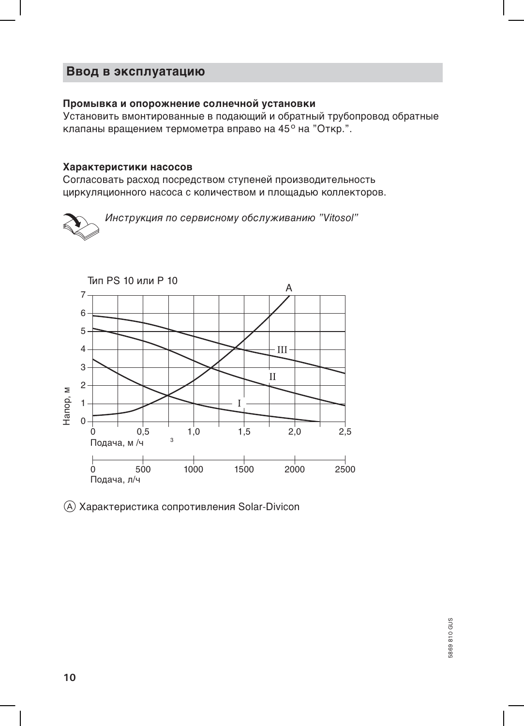## Ввод в эксплуатацию

#### Промывка и опорожнение солнечной установки

Установить вмонтированные в подающий и обратный трубопровод обратные клапаны вращением термометра вправо на 45° на "Откр.".

#### Характеристики насосов

Согласовать расход посредством ступеней производительность циркуляционного насоса с количеством и площадью коллекторов.





(А) Характеристика сопротивления Solar-Divicon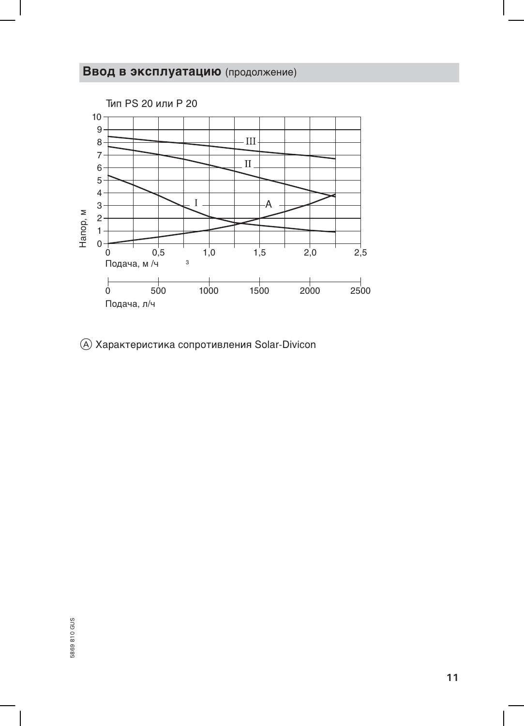# Ввод в эксплуатацию (продолжение)



(А) Характеристика сопротивления Solar-Divicon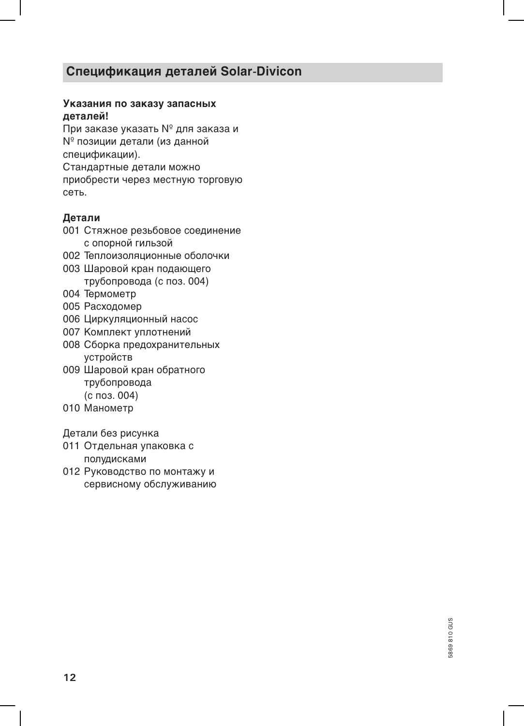# Спецификация деталей Solar-Divicon

#### Указания по заказу запасных деталей!

При заказе указать № для заказа и № позиции детали (из данной спецификации). Стандартные детали можно приобрести через местную торговую **CATH** 

### Детали

- 001 Стяжное резьбовое соединение с опорной гильзой
- 002 Теплоизоляционные оболочки
- 003 Шаровой кран подающего трубопровода (с поз. 004)
- 004 Термометр
- 005 Расходомер
- 006 Циркуляционный насос
- 007 Комплект уплотнений
- 008 Сборка предохранительных устройств
- 009 Шаровой кран обратного трубопровода (с поз. 004)
- 010 Манометр

Детали без рисунка

- 011 Отдельная упаковка с полудисками
- 012 Руководство по монтажу и сервисному обслуживанию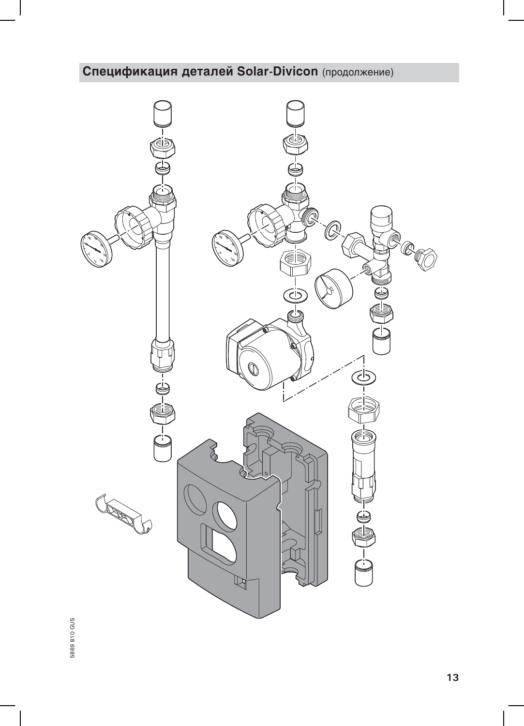# Спецификация деталей Solar-Divicon (продолжение)

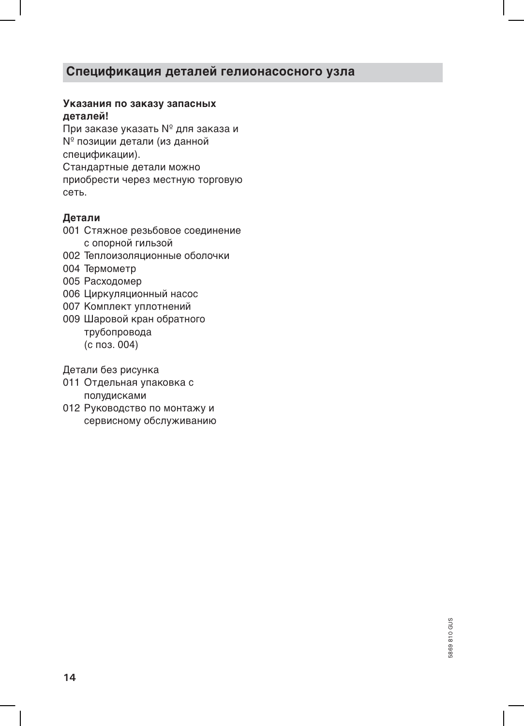# Спецификация деталей гелионасосного узла

### Указания по заказу запасных деталей!

При заказе указать № для заказа и № позиции детали (из данной спецификации). Стандартные детали можно приобрести через местную торговую **CATH** 

### Детали

- 001 Стяжное резьбовое соединение с опорной гильзой
- 002 Теплоизоляционные оболочки
- 004 Термометр
- 005 Расходомер
- 006 Циркуляционный насос
- 007 Комплект уплотнений
- 009 Шаровой кран обратного трубопровода (с поз. 004)

Детали без рисунка

- 011 Отдельная упаковка с полудисками
- 012 Руководство по монтажу и сервисному обслуживанию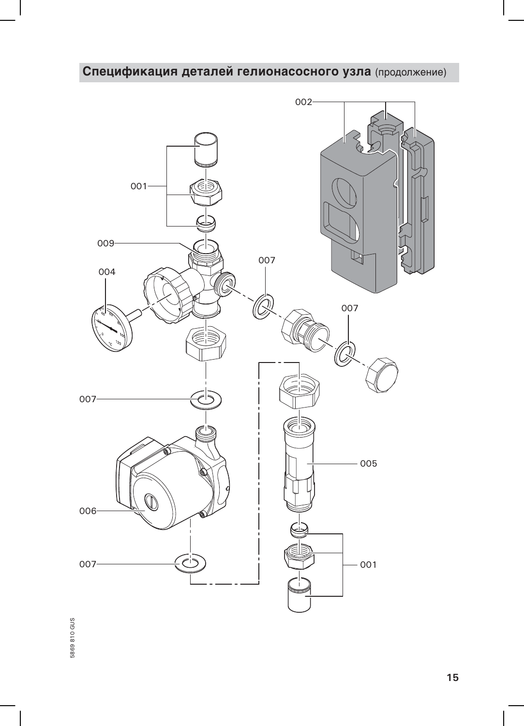# Спецификация деталей гелионасосного узла (продолжение)